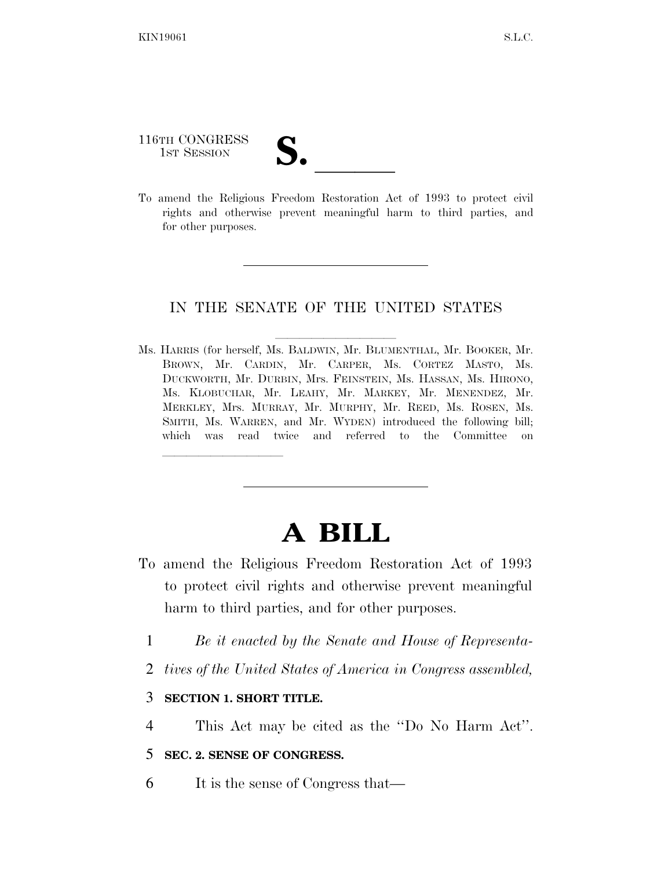## 116TH CONGRESS

116TH CONGRESS<br>
1ST SESSION<br>
To amend the Religious Freedom Restoration Act of 1993 to protect civil rights and otherwise prevent meaningful harm to third parties, and for other purposes.

## IN THE SENATE OF THE UNITED STATES

Ms. HARRIS (for herself, Ms. BALDWIN, Mr. BLUMENTHAL, Mr. BOOKER, Mr. BROWN, Mr. CARDIN, Mr. CARPER, Ms. CORTEZ MASTO, Ms. DUCKWORTH, Mr. DURBIN, Mrs. FEINSTEIN, Ms. HASSAN, Ms. HIRONO, Ms. KLOBUCHAR, Mr. LEAHY, Mr. MARKEY, Mr. MENENDEZ, Mr. MERKLEY, Mrs. MURRAY, Mr. MURPHY, Mr. REED, Ms. ROSEN, Ms. SMITH, Ms. WARREN, and Mr. WYDEN) introduced the following bill; which was read twice and referred to the Committee on

## **A BILL**

- To amend the Religious Freedom Restoration Act of 1993 to protect civil rights and otherwise prevent meaningful harm to third parties, and for other purposes.
	- 1 *Be it enacted by the Senate and House of Representa-*
	- 2 *tives of the United States of America in Congress assembled,*
	- 3 **SECTION 1. SHORT TITLE.**

lla se al constituir a la constituir a la constituir a la constituir a la constituir a la constituir a la cons<br>La constituir a la constituir a la constituir a la constituir a la constituir a la constituir a la constituir

- 4 This Act may be cited as the ''Do No Harm Act''.
- 5 **SEC. 2. SENSE OF CONGRESS.**
- 6 It is the sense of Congress that—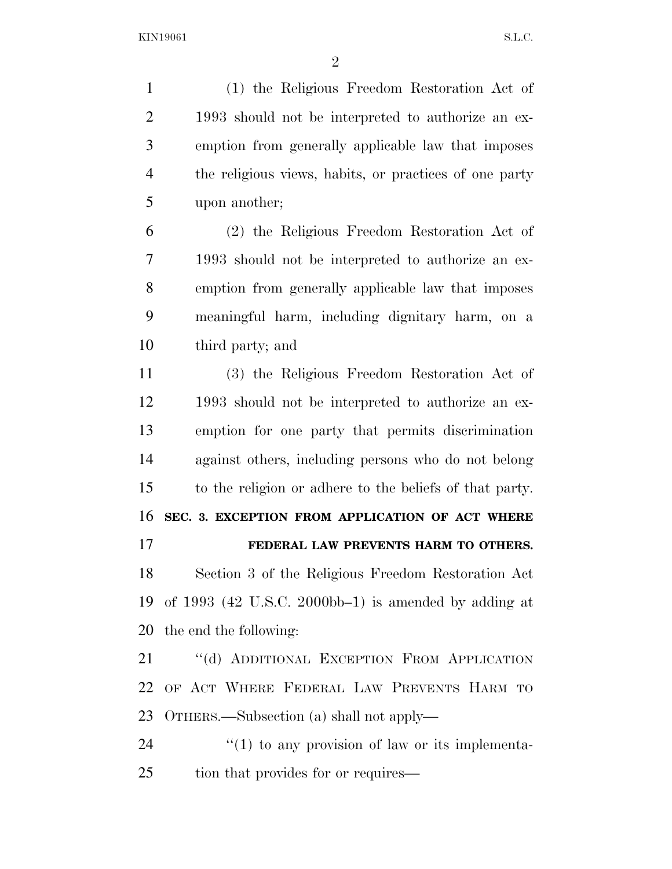$KIN19061$  S.L.C.

 (1) the Religious Freedom Restoration Act of 1993 should not be interpreted to authorize an ex- emption from generally applicable law that imposes the religious views, habits, or practices of one party upon another;

 (2) the Religious Freedom Restoration Act of 1993 should not be interpreted to authorize an ex- emption from generally applicable law that imposes meaningful harm, including dignitary harm, on a third party; and

 (3) the Religious Freedom Restoration Act of 1993 should not be interpreted to authorize an ex- emption for one party that permits discrimination against others, including persons who do not belong to the religion or adhere to the beliefs of that party. **SEC. 3. EXCEPTION FROM APPLICATION OF ACT WHERE FEDERAL LAW PREVENTS HARM TO OTHERS.**  Section 3 of the Religious Freedom Restoration Act

 of 1993 (42 U.S.C. 2000bb–1) is amended by adding at the end the following:

21 "(d) ADDITIONAL EXCEPTION FROM APPLICATION OF ACT WHERE FEDERAL LAW PREVENTS HARM TO OTHERS.—Subsection (a) shall not apply—

24  $\frac{1}{2}$  (1) to any provision of law or its implementa-25 tion that provides for or requires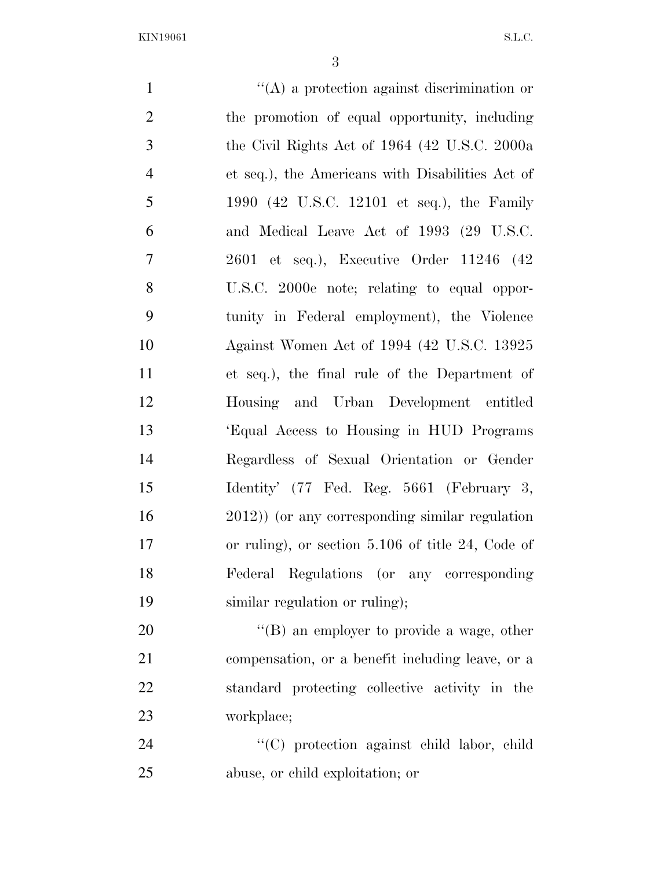KIN19061 S.L.C.

 ''(A) a protection against discrimination or the promotion of equal opportunity, including the Civil Rights Act of 1964 (42 U.S.C. 2000a et seq.), the Americans with Disabilities Act of 1990 (42 U.S.C. 12101 et seq.), the Family and Medical Leave Act of 1993 (29 U.S.C. 2601 et seq.), Executive Order 11246 (42 U.S.C. 2000e note; relating to equal oppor- tunity in Federal employment), the Violence Against Women Act of 1994 (42 U.S.C. 13925 et seq.), the final rule of the Department of Housing and Urban Development entitled 'Equal Access to Housing in HUD Programs Regardless of Sexual Orientation or Gender Identity' (77 Fed. Reg. 5661 (February 3, 2012)) (or any corresponding similar regulation or ruling), or section 5.106 of title 24, Code of Federal Regulations (or any corresponding similar regulation or ruling); 20 "'(B) an employer to provide a wage, other compensation, or a benefit including leave, or a standard protecting collective activity in the workplace; ''(C) protection against child labor, child abuse, or child exploitation; or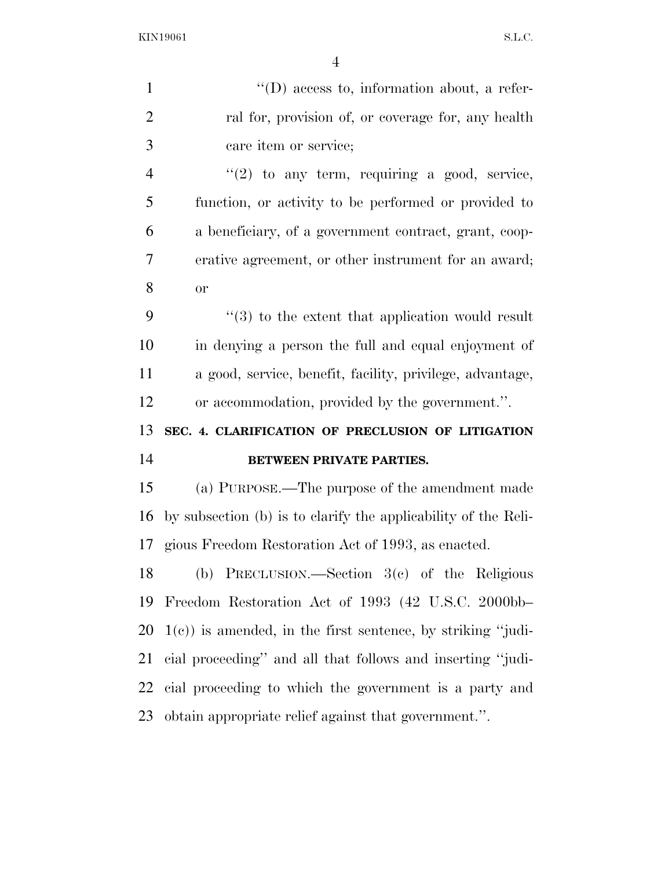KIN19061 S.L.C.

| $\mathbf{1}$   | $\lq\lq$ (D) access to, information about, a refer-            |
|----------------|----------------------------------------------------------------|
| $\overline{2}$ | ral for, provision of, or coverage for, any health             |
| 3              | care item or service;                                          |
| $\overline{4}$ | $\lq(2)$ to any term, requiring a good, service,               |
| 5              | function, or activity to be performed or provided to           |
| 6              | a beneficiary, of a government contract, grant, coop-          |
| 7              | erative agreement, or other instrument for an award;           |
| 8              | or                                                             |
| 9              | $\cdot$ (3) to the extent that application would result        |
| 10             | in denying a person the full and equal enjoyment of            |
| 11             | a good, service, benefit, facility, privilege, advantage,      |
| 12             | or accommodation, provided by the government.".                |
| 13             | SEC. 4. CLARIFICATION OF PRECLUSION OF LITIGATION              |
| 14             | <b>BETWEEN PRIVATE PARTIES.</b>                                |
| 15             | (a) PURPOSE.—The purpose of the amendment made                 |
| 16             | by subsection (b) is to clarify the applicability of the Reli- |
| 17             | gious Freedom Restoration Act of 1993, as enacted.             |
| 18             | (b) PRECLUSION.—Section $3(e)$ of the Religious                |
| 19             | Freedom Restoration Act of 1993 (42 U.S.C. 2000bb-             |
| 20             | $1(c)$ ) is amended, in the first sentence, by striking "judi- |
| 21             | cial proceeding" and all that follows and inserting "judi-     |
| 22             | cial proceeding to which the government is a party and         |
| 23             | obtain appropriate relief against that government.".           |